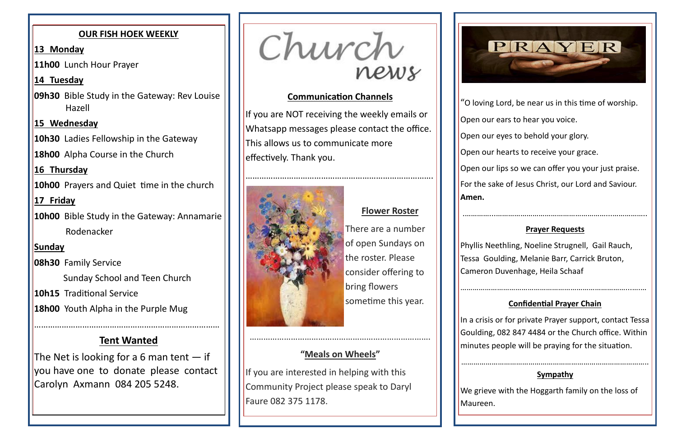### **Communication Channels**

If you are NOT receiving the weekly emails or Whatsapp messages please contact the office. This allows us to communicate more effectively. Thank you.



### **Flower Roster**

If you are interested in helping with this Community Project please speak to Daryl Faure 082 375 1178.



There are a number of open Sundays on the roster. Please consider offering to bring flowers sometime this year.

…………………………………………………………………….

# **"Meals on Wheels"**

"O loving Lord, be near us in this time of worship.

Open our ears to hear you voice.

In a crisis or for private Prayer support, contact Tessa Goulding, 082 847 4484 or the Church office. Within minutes people will be praying for the situation.

Open our eyes to behold your glory.

Open our hearts to receive your grace.

Open our lips so we can offer you your just praise.

For the sake of Jesus Christ, our Lord and Saviour.

**Amen.**

.…………...………………………………………………...……………..

#### **Prayer Requests**

Phyllis Neethling, Noeline Strugnell, Gail Rauch, Tessa Goulding, Melanie Barr, Carrick Bruton, Cameron Duvenhage, Heila Schaaf

The Net is looking for a 6 man tent  $-$  if you have one to donate please contact Carolyn Axmann 084 205 5248.

Church

………………………………………………………………………...….…

**Confidential Prayer Chain**

………………………………………………………………………………..

### **Sympathy**

We grieve with the Hoggarth family on the loss of

Maureen.

### **OUR FISH HOEK WEEKLY**

### **13 Monday**

**11h00** Lunch Hour Prayer

### **14 Tuesday**

**09h30** Bible Study in the Gateway: Rev Louise Hazell

**15 Wednesday**

**10h30** Ladies Fellowship in the Gateway

**18h00** Alpha Course in the Church

## **16 Thursday**

**10h00** Prayers and Quiet time in the church

## **17 Friday**

**10h00** Bible Study in the Gateway: Annamarie Rodenacker

## **Sunday**

**08h30** Family Service

Sunday School and Teen Church

**10h15** Traditional Service

**18h00** Youth Alpha in the Purple Mug

………………………………………………………………………

# **Tent Wanted**